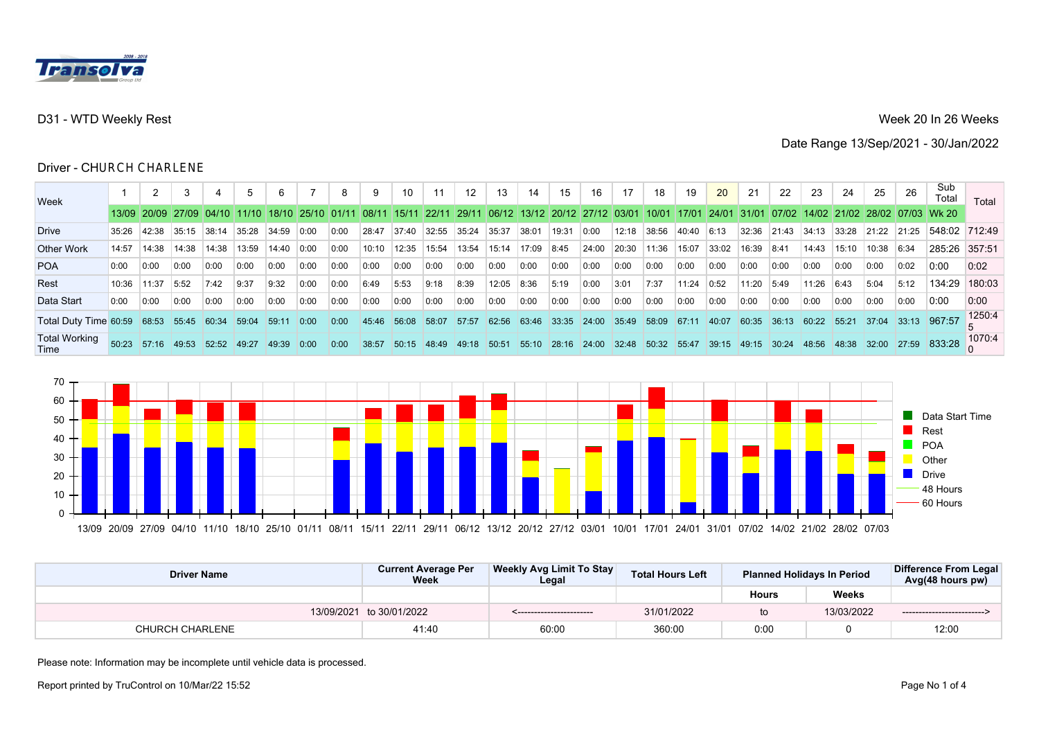

## Week 20 In 26 Weeks

Date Range 13/Sep/2021 - 30/Jan/2022

# **Driver - CH**URCH CHARLENE

| Week                         |       | 2                                     |             |       | 5     |            |                   |      | 9     | 10    | 11    | 12    | 13                                  | 14    | 15    | 16    | 17    | 18                              | 19     | 20    | 21    | 22    | 23    | 24    | 25          | 26    | Sub<br>Total                        | Total              |
|------------------------------|-------|---------------------------------------|-------------|-------|-------|------------|-------------------|------|-------|-------|-------|-------|-------------------------------------|-------|-------|-------|-------|---------------------------------|--------|-------|-------|-------|-------|-------|-------------|-------|-------------------------------------|--------------------|
|                              |       | 13/09   20/09   27/09   04/10   11/10 |             |       |       |            | 18/10 25/10 01/11 |      | 08/11 | 15/11 | 22/11 |       | 29/11 06/12 13/12 20/12 27/12 03/01 |       |       |       |       | 10/01                           | 17/01  | 24/01 | 31/01 |       |       |       |             |       | 07/02 14/02 21/02 28/02 07/03 Wk 20 |                    |
| <b>Drive</b>                 | 35:26 | 42:38                                 | 35:15       | 38:14 | 35:28 | 34:59      | 0:00              | 0:00 | 28:47 | 37:40 | 32:55 | 35:24 | 35:37                               | 38:01 | 19:31 | 0:00  | 12:18 | 38:56                           | 40:40  | 6:13  | 32:36 | 21:43 | 34:13 | 33:28 | 21:22       | 21:25 | 548:02 712:49                       |                    |
| <b>Other Work</b>            | 14:57 | 14:38                                 | 14:38       | 14:38 | 13:59 | 14:40      | 0:00              | 0:00 | 10:10 | 12:35 | 15:54 | 13:54 | 15:14 17:09                         |       | 8:45  | 24:00 | 20:30 | 11:36                           | 15:07  | 33:02 | 16:39 | 8:41  | 14:43 | 15:10 | 10:38 6:34  |       | 285:26 357:51                       |                    |
| <b>POA</b>                   | 0:00  | 0:00                                  | 0:00        | 0:00  | 0:00  | 0:00       | 0:00              | 0:00 | 0:00  | 0:00  | 0:00  | 0:00  | 0:00                                | 0:00  | 0:00  | 0:00  | 0:00  | 0:00                            | 0:00   | 0:00  | 0:00  | 0:00  | 0:00  | 0:00  | 0:00        | 0:02  | 0.00                                | 0:02               |
| Rest                         | 10:36 | 11:37                                 | 5:52        | 7:42  | 9:37  | 9:32       | 0:00              | 0:00 | 6:49  | 5:53  | 9:18  | 8:39  | 12:05                               | 8:36  | 5:19  | 0:00  | 3:01  | 7:37                            | 11:24  | 0:52  | 11:20 | 5:49  | 11:26 | 6:43  | 5:04        | 5:12  | 134:29 180:03                       |                    |
| Data Start                   | 0:00  | 0:00                                  | 0:00        | 0:00  | 0:00  | 0:00       | 0:00              | 0:00 | 0:00  | 0:00  | 0:00  | 0:00  | 0:00                                | 0:00  | 0:00  | 0:00  | 0:00  | 0:00                            | 0:00   | 0:00  | 0:00  | 0:00  | 0:00  | 0:00  | 0:00        | 0:00  | 0.00                                | 0:00               |
| Total Duty Time 60:59 68:53  |       |                                       | 55:45       | 60:34 | 59:04 | 59:11      | 0:00              | 0:00 | 45:46 | 56:08 | 58:07 | 57:57 | 62:56 63:46 33:35                   |       |       | 24:00 | 35:49 | 58:09                           | 167:11 | 40:07 | 60:35 | 36:13 | 60:22 | 55:21 | 37:04       | 33:13 | 967:57                              | 1250:4             |
| <b>Total Working</b><br>Time | 50:23 | 157:16                                | 49:53 52:52 |       | 49:27 | 49:39 0:00 |                   | 0:00 | 38:57 | 50:15 | 48:49 |       | 49:18 50:51 55:10 28:16 24:00       |       |       |       |       | $32:48$ 50:32 55:47 39:15 49:15 |        |       |       | 30:24 | 48:56 | 48:38 | 32:00 27:59 |       |                                     | $-9$ 833:28 1070:4 |
|                              |       |                                       |             |       |       |            |                   |      |       |       |       |       |                                     |       |       |       |       |                                 |        |       |       |       |       |       |             |       |                                     |                    |



| <b>Driver Name</b>     | <b>Current Average Per</b><br>Week | Weekly Avg Limit To Stay<br>Legal | <b>Total Hours Left</b> |              | <b>Planned Holidays In Period</b> | Difference From Legal<br>Avg(48 hours pw) |
|------------------------|------------------------------------|-----------------------------------|-------------------------|--------------|-----------------------------------|-------------------------------------------|
|                        |                                    |                                   |                         | <b>Hours</b> | Weeks                             |                                           |
|                        | 13/09/2021 to 30/01/2022           | <------------------------         | 31/01/2022              | to           | 13/03/2022                        | ----------------------------              |
| <b>CHURCH CHARLENE</b> | 41:40                              | 60:00                             | 360:00                  | 0:00         |                                   | 12:00                                     |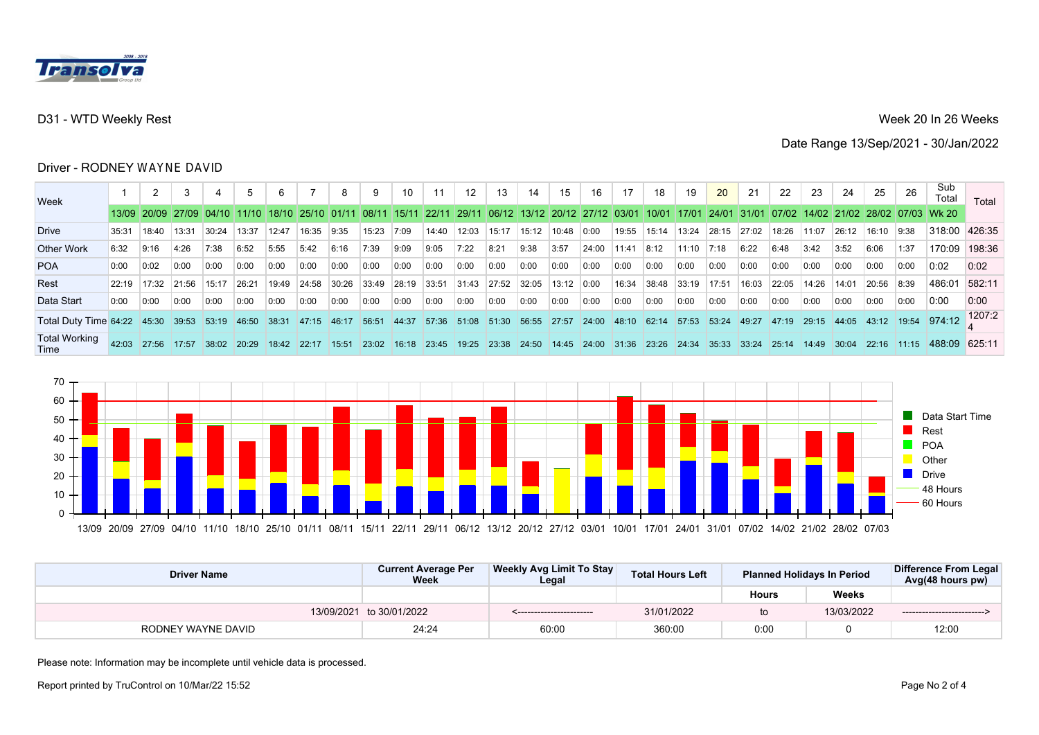

## Week 20 In 26 Weeks

Date Range 13/Sep/2021 - 30/Jan/2022

#### **Driver - RODNEY** WAYNE DAVID

| <b>Week</b>                  |       | 2     |                               |       |       |       |                       |       | 9      | 10    |       | 12    | 13          | 14                                                                    | 15           | 16            | 17     | 18    |       | <b>20</b>    | 21     | 22     | 23    | 24    | 25         | 26    | Sub<br>Total                         | Total                           |
|------------------------------|-------|-------|-------------------------------|-------|-------|-------|-----------------------|-------|--------|-------|-------|-------|-------------|-----------------------------------------------------------------------|--------------|---------------|--------|-------|-------|--------------|--------|--------|-------|-------|------------|-------|--------------------------------------|---------------------------------|
|                              |       |       | 13/09 20/09 27/09 04/10 11/10 |       |       |       | 18/10   25/10   01/11 |       | 108/11 |       |       |       |             | 15/11   22/11   29/11   06/12   13/12   20/12   27/12   03/01   10/01 |              |               |        |       | 17/01 | 124/01131/01 |        |        |       |       |            |       | 107/02114/02121/02128/02107/031Wk 20 |                                 |
| Drive                        | 35:31 | 18:40 | 13:31                         | 30:24 | 13:37 | 12:47 | 16:35                 | 9:35  | 15:23  | 7:09  | 14:40 | 12:03 | 15:17       | 15:12                                                                 | 10:48        | 0:00          | 19:55  | 15:14 | 13:24 | 28:15        | 27:02  | 18:26  | 11:07 | 26:12 | 16:10 9:38 |       | 318:00 426:35                        |                                 |
| <b>Other Work</b>            | 6:32  | 9:16  | 4:26                          | 7:38  | 6:52  | 5:55  | 5:42                  | 6:16  | 7:39   | 9:09  | 9:05  | 7:22  | 8:21        | 9:38                                                                  | 3:57         | 24:00         | 11:41  | 8:12  | 11:10 | 7:18         | 6:22   | 6:48   | 3:42  | 3:52  | 6:06       | 1:37  | 170:09 198:36                        |                                 |
| <b>POA</b>                   | 0:00  | 0:02  | 0:00                          | 0:00  | 0:00  | 0:00  | 0:00                  | 0:00  | 0:00   | 0:00  | 0:00  | 0:00  | 0:00        | 0:00                                                                  | 0:00         | 0:00          | 0:00   | 0:00  | 0:00  | 0:00         | 0:00   | 0:00   | 0:00  | 0:00  | 0:00       | 0:00  | 0:02                                 | 0:02                            |
| Rest                         | 22:19 | 17:32 | 21:56                         | 15:17 | 26:21 | 19:49 | 24:58                 | 30:26 | 33:49  | 28:19 | 33:51 | 31:43 | 27:52 32:05 |                                                                       | $13:12$ 0:00 |               | 16:34  | 38:48 | 33:19 | 17:51        | 16:03  | 22:05  | 14:26 | 14:01 | 20:56      | 8:39  | 486:01                               | 582:11                          |
| Data Start                   | 0:00  | 0:00  | 0:00                          | 0:00  | 0:00  | 0:00  | 0:00                  | 0:00  | 0:00   | 0:00  | 0:00  | 0:00  | 0:00        | 0:00                                                                  | 0:00         | 0:00          | 0:00   | 0:00  | 0:00  | 0:00         | 0:00   | 0:00   | 0:00  | 0:00  | 0:00       | 0:00  | 0:00                                 | 0:00                            |
| Total Duty Time 64:22 45:30  |       |       | 39:53 53:19 46:50 38:31 47:15 |       |       |       |                       | 46:17 | 156:51 | 44:37 |       |       |             | 57:36 51:08 51:30 56:55 27:57                                         |              | $24:00$ 48:10 |        | 62:14 | 57:53 | 53:24        | 149:27 | 147:19 | 29:15 |       |            |       |                                      | 44:05 43:12 19:54 974:12 1207:2 |
| <b>Total Working</b><br>Time | 42.03 | 27:56 | 17:57                         | 38:02 | 20:29 | 18:42 | 122:17                | 15:51 | 23:02  | 16:18 | 23:45 | 19:25 | 23:38       | 24:50                                                                 | 14:45        | 24:00         | 131:36 | 23:26 | 24:34 | 35:33        | 33:24  | 25:14  | 14:49 | 30:04 | 22:16      | 11:15 | 488.09                               | 625.11                          |



| <b>Driver Name</b> | <b>Current Average Per</b><br><b>Week</b> | Weekly Avg Limit To Stay<br>Legal | <b>Total Hours Left</b> |              | <b>Planned Holidays In Period</b> | Difference From Legal<br>Avg(48 hours pw) |
|--------------------|-------------------------------------------|-----------------------------------|-------------------------|--------------|-----------------------------------|-------------------------------------------|
|                    |                                           |                                   |                         | <b>Hours</b> | <b>Weeks</b>                      |                                           |
|                    | 13/09/2021 to 30/01/2022                  | _________________________         | 31/01/2022              | to           | 13/03/2022                        | --------------------------                |
| RODNEY WAYNE DAVID | 24:24                                     | 60:00                             | 360:00                  | 0:00         |                                   | 12:00                                     |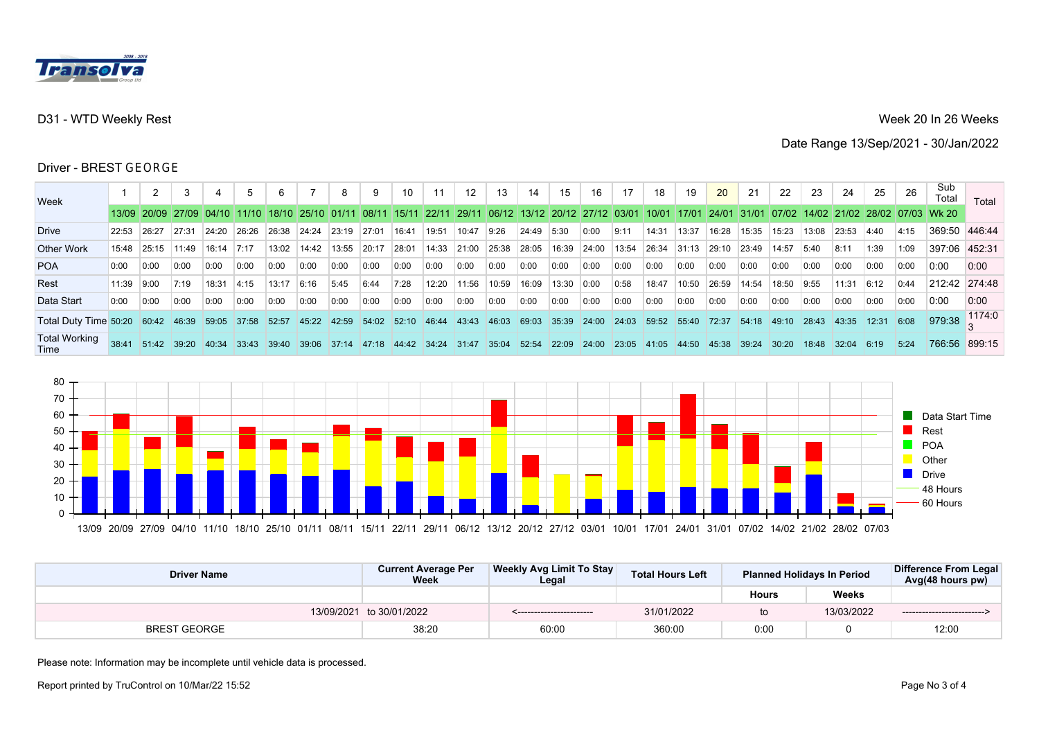

## Week 20 In 26 Weeks

Date Range 13/Sep/2021 - 30/Jan/2022

#### Driver - BREST GEORGE

| <b>Week</b>                                                        |            | 2      |                                                       |       |       |        |                      |       | 9     | 10                | 11          | 12    | 13            | 14                                                    | 15          | 16    | 17    | 18          | 19     | <b>20</b> | 21    | 22         | 23    | 24    | 25                              | 26   | Sub<br>Total                                    | Total         |
|--------------------------------------------------------------------|------------|--------|-------------------------------------------------------|-------|-------|--------|----------------------|-------|-------|-------------------|-------------|-------|---------------|-------------------------------------------------------|-------------|-------|-------|-------------|--------|-----------|-------|------------|-------|-------|---------------------------------|------|-------------------------------------------------|---------------|
|                                                                    |            |        | 13/09 20/09 27/09 04/10 11/10 18/10 25/10 01/11 08/11 |       |       |        |                      |       |       |                   |             |       |               | 15/11 22/11 29/11 06/12 13/12 20/12 27/12 03/01 10/01 |             |       |       |             | 17/01  |           |       |            |       |       |                                 |      | 24/01 31/01 07/02 14/02 21/02 28/02 07/03 Wk 20 |               |
| <b>Drive</b>                                                       | 22:53      | 26:27  | 27:31                                                 | 24:20 | 26:26 | 26:38  | 24:24                | 23:19 | 27:01 | 16:41             | 19:51       | 10:47 | 9:26          | 24:49                                                 | 5:30        | 0:00  | 9:11  | 14:31       | 13:37  | 16:28     | 15:35 | 15:23      | 13:08 | 23:53 | 4:40                            | 4:15 | 369:50 446:44                                   |               |
| <b>Other Work</b>                                                  | 15:48      | 25:15  | 11:49                                                 | 16:14 | 7:17  | 13:02  | 14:42                | 13:55 | 20:17 | 28:01             | 14:33 21:00 |       | 25:38         | 28:05                                                 | 16:39 24:00 |       | 13:54 | 26:34       | 31:13  | 29:10     | 23:49 | 14:57      | 5:40  | 8:11  | 1:39                            | 1:09 | 397:06 452:31                                   |               |
| <b>POA</b>                                                         | 0:00       | 0:00   | 0:00                                                  | 0:00  | 0:00  | 0:00   | 0:00                 | 0:00  | 0:00  | 0:00              | 0:00        | 0:00  | 0:00          | 0:00                                                  | 0:00        | 0:00  | 0:00  | 0:00        | 0:00   | 0:00      | 0:00  | 0:00       | 0:00  | 0:00  | 0:00                            | 0:00 | 0:00                                            | 0:00          |
| Rest                                                               | 11:39 9:00 |        | 7:19                                                  | 18:31 | 14:15 | 13:17  | 6:16                 | 5:45  | 6:44  | 7:28              | 12:20       | 11:56 | 10:59         | 16:09                                                 | 13:30 0:00  |       | 0:58  | 18:47       | 10:50  | 26:59     | 14:54 | 18:50 9:55 |       | 11:31 | 6:12                            | 0:44 | 212.42 274.48                                   |               |
| Data Start                                                         | 0:00       | 0:00   | 0:00                                                  | 0:00  | 0:00  | 0:00   | 0:00                 | 0:00  | 0:00  | 0:00              | 0:00        | 0:00  | 0:00          | 0:00                                                  | 0:00        | 0:00  | 0:00  | 0:00        | 0:00   | 0:00      | 0:00  | 0:00       | 0:00  | 0:00  | 0:00                            | 0:00 | 0:00                                            | 0:00          |
| Total Duty Time 50:20    60:42    46:39    59:05    37:58    52:57 |            |        |                                                       |       |       |        | $145:22$ 42:59 54:02 |       |       |                   |             |       |               | 52:10 46:44 43:43 46:03 69:03 35:39 24:00             |             |       |       | 24:03 59:52 | 155:40 | 72:37     | 54:18 |            |       |       | $ 49:10$ 28:43 43:35 12:31 6:08 |      |                                                 | 979.38 1174.0 |
| <b>Total Working</b><br>Time                                       | 38.41      | 151:42 | 39:20                                                 | 40:34 | 33:43 | 139:40 | $39:06$ 37:14        |       | 47:18 | 44:42 34:24 31:47 |             |       | $35:04$ 52:54 |                                                       | 22:09       | 24:00 | 23:05 | 141:05      | 44:50  | 45:38     | 39:24 | 30:20      | 18:48 | 32:04 | 6:19                            | 5:24 |                                                 | 766:56 899:15 |



| <b>Driver Name</b>  | <b>Current Average Per</b><br><b>Week</b> | Weekly Avg Limit To Stay<br>Legal | <b>Total Hours Left</b> |              | <b>Planned Holidays In Period</b> | Difference From Legal<br>Avg(48 hours pw) |
|---------------------|-------------------------------------------|-----------------------------------|-------------------------|--------------|-----------------------------------|-------------------------------------------|
|                     |                                           |                                   |                         | <b>Hours</b> | <b>Weeks</b>                      |                                           |
|                     | 13/09/2021 to 30/01/2022                  |                                   | 31/01/2022              | to           | 13/03/2022                        | --------------------------                |
| <b>BREST GEORGE</b> | 38:20                                     | 60:00                             | 360:00                  | 0:00         |                                   | 12:00                                     |